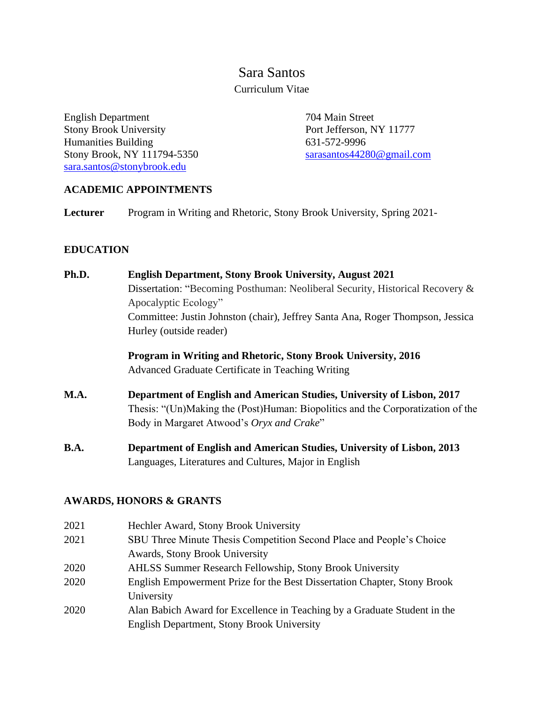# Sara Santos Curriculum Vitae

English Department Stony Brook University Humanities Building Stony Brook, NY 111794-5350 [sara.santos@stonybrook.edu](mailto:sara.santos@stonybrook.edu)

 704 Main Street Port Jefferson, NY 11777 631-572-9996 [sarasantos44280@gmail.com](mailto:sarasantos44280@gmail.com)

# **ACADEMIC APPOINTMENTS**

**Lecturer** Program in Writing and Rhetoric, Stony Brook University, Spring 2021-

# **EDUCATION**

**Ph.D. English Department, Stony Brook University, August 2021** Dissertation: "Becoming Posthuman: Neoliberal Security, Historical Recovery & Apocalyptic Ecology" Committee: Justin Johnston (chair), Jeffrey Santa Ana, Roger Thompson, Jessica Hurley (outside reader)

> **Program in Writing and Rhetoric, Stony Brook University, 2016** Advanced Graduate Certificate in Teaching Writing

- **M.A. Department of English and American Studies, University of Lisbon, 2017** Thesis: "(Un)Making the (Post)Human: Biopolitics and the Corporatization of the Body in Margaret Atwood's *Oryx and Crake*"
- **B.A. Department of English and American Studies, University of Lisbon, 2013** Languages, Literatures and Cultures, Major in English

#### **AWARDS, HONORS & GRANTS**

| Hechler Award, Stony Brook University                                     |
|---------------------------------------------------------------------------|
| SBU Three Minute Thesis Competition Second Place and People's Choice      |
| <b>Awards, Stony Brook University</b>                                     |
| <b>AHLSS Summer Research Fellowship, Stony Brook University</b>           |
| English Empowerment Prize for the Best Dissertation Chapter, Stony Brook  |
| University                                                                |
| Alan Babich Award for Excellence in Teaching by a Graduate Student in the |
| English Department, Stony Brook University                                |
|                                                                           |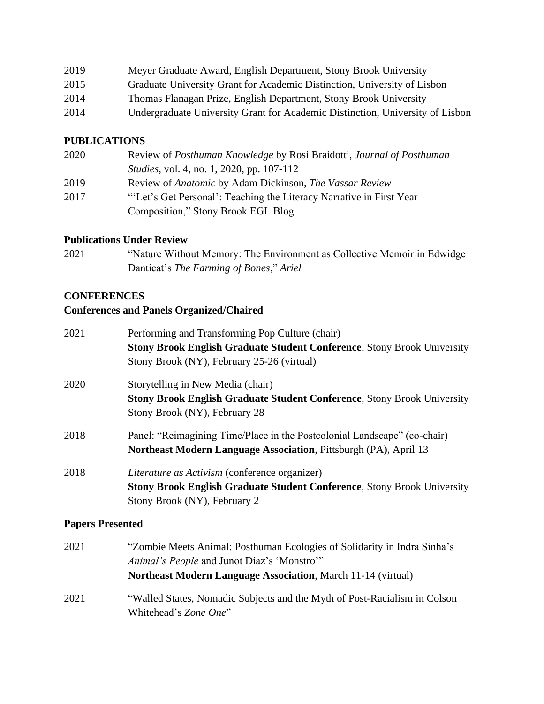| 2019 | Meyer Graduate Award, English Department, Stony Brook University              |
|------|-------------------------------------------------------------------------------|
| 2015 | Graduate University Grant for Academic Distinction, University of Lisbon      |
| 2014 | Thomas Flanagan Prize, English Department, Stony Brook University             |
| 2014 | Undergraduate University Grant for Academic Distinction, University of Lisbon |

#### **PUBLICATIONS**

| 2020 | Review of Posthuman Knowledge by Rosi Braidotti, Journal of Posthuman |
|------|-----------------------------------------------------------------------|
|      | <i>Studies</i> , vol. 4, no. 1, 2020, pp. 107-112                     |
| 2019 | Review of Anatomic by Adam Dickinson, The Vassar Review               |
| 2017 | "Let's Get Personal': Teaching the Literacy Narrative in First Year   |
|      | Composition," Stony Brook EGL Blog                                    |

#### **Publications Under Review**

2021 "Nature Without Memory: The Environment as Collective Memoir in Edwidge Danticat's *The Farming of Bones*," *Ariel*

#### **CONFERENCES**

# **Conferences and Panels Organized/Chaired**

| 2021 | Performing and Transforming Pop Culture (chair)                                |
|------|--------------------------------------------------------------------------------|
|      | <b>Stony Brook English Graduate Student Conference, Stony Brook University</b> |
|      | Stony Brook (NY), February 25-26 (virtual)                                     |
| 2020 | Storytelling in New Media (chair)                                              |
|      | <b>Stony Brook English Graduate Student Conference, Stony Brook University</b> |
|      | Stony Brook (NY), February 28                                                  |
| 2018 | Panel: "Reimagining Time/Place in the Postcolonial Landscape" (co-chair)       |
|      | Northeast Modern Language Association, Pittsburgh (PA), April 13               |
| 2018 | Literature as Activism (conference organizer)                                  |
|      | <b>Stony Brook English Graduate Student Conference, Stony Brook University</b> |
|      | Stony Brook (NY), February 2                                                   |

# **Papers Presented**

2021 "Zombie Meets Animal: Posthuman Ecologies of Solidarity in Indra Sinha's *Animal's People* and Junot Díaz's 'Monstro'" **Northeast Modern Language Association**, March 11-14 (virtual) 2021 "Walled States, Nomadic Subjects and the Myth of Post-Racialism in Colson Whitehead's *Zone One*"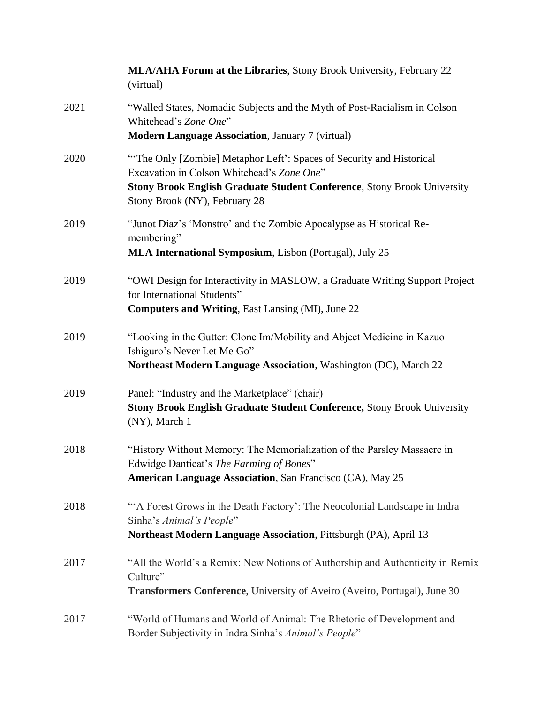|      | MLA/AHA Forum at the Libraries, Stony Brook University, February 22<br>(virtual)                                                                                                                                                      |
|------|---------------------------------------------------------------------------------------------------------------------------------------------------------------------------------------------------------------------------------------|
| 2021 | "Walled States, Nomadic Subjects and the Myth of Post-Racialism in Colson<br>Whitehead's Zone One"<br><b>Modern Language Association</b> , January 7 (virtual)                                                                        |
|      |                                                                                                                                                                                                                                       |
| 2020 | "The Only [Zombie] Metaphor Left': Spaces of Security and Historical<br>Excavation in Colson Whitehead's Zone One"<br><b>Stony Brook English Graduate Student Conference, Stony Brook University</b><br>Stony Brook (NY), February 28 |
| 2019 | "Junot Diaz's 'Monstro' and the Zombie Apocalypse as Historical Re-<br>membering"<br>MLA International Symposium, Lisbon (Portugal), July 25                                                                                          |
|      |                                                                                                                                                                                                                                       |
| 2019 | "OWI Design for Interactivity in MASLOW, a Graduate Writing Support Project<br>for International Students"<br><b>Computers and Writing, East Lansing (MI), June 22</b>                                                                |
| 2019 | "Looking in the Gutter: Clone Im/Mobility and Abject Medicine in Kazuo<br>Ishiguro's Never Let Me Go"<br>Northeast Modern Language Association, Washington (DC), March 22                                                             |
| 2019 | Panel: "Industry and the Marketplace" (chair)<br>Stony Brook English Graduate Student Conference, Stony Brook University<br>(NY), March 1                                                                                             |
| 2018 | "History Without Memory: The Memorialization of the Parsley Massacre in<br>Edwidge Danticat's The Farming of Bones"<br><b>American Language Association</b> , San Francisco (CA), May 25                                              |
| 2018 | "A Forest Grows in the Death Factory': The Neocolonial Landscape in Indra<br>Sinha's Animal's People"<br>Northeast Modern Language Association, Pittsburgh (PA), April 13                                                             |
| 2017 | "All the World's a Remix: New Notions of Authorship and Authenticity in Remix<br>Culture"<br><b>Transformers Conference</b> , University of Aveiro (Aveiro, Portugal), June 30                                                        |
| 2017 | "World of Humans and World of Animal: The Rhetoric of Development and<br>Border Subjectivity in Indra Sinha's Animal's People"                                                                                                        |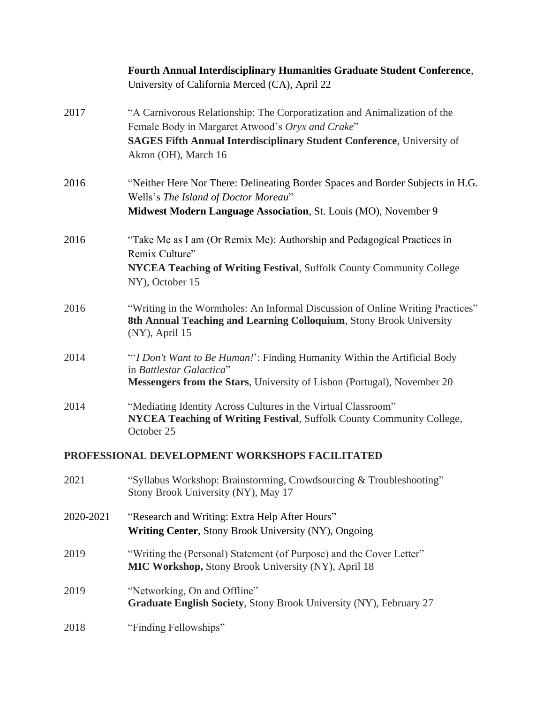|           | <b>Fourth Annual Interdisciplinary Humanities Graduate Student Conference,</b><br>University of California Merced (CA), April 22                                                                                                        |
|-----------|-----------------------------------------------------------------------------------------------------------------------------------------------------------------------------------------------------------------------------------------|
| 2017      | "A Carnivorous Relationship: The Corporatization and Animalization of the<br>Female Body in Margaret Atwood's Oryx and Crake"<br><b>SAGES Fifth Annual Interdisciplinary Student Conference</b> , University of<br>Akron (OH), March 16 |
| 2016      | "Neither Here Nor There: Delineating Border Spaces and Border Subjects in H.G.<br>Wells's The Island of Doctor Moreau"<br>Midwest Modern Language Association, St. Louis (MO), November 9                                               |
| 2016      | "Take Me as I am (Or Remix Me): Authorship and Pedagogical Practices in<br>Remix Culture"<br>NYCEA Teaching of Writing Festival, Suffolk County Community College<br>NY), October 15                                                    |
| 2016      | "Writing in the Wormholes: An Informal Discussion of Online Writing Practices"<br>8th Annual Teaching and Learning Colloquium, Stony Brook University<br>(NY), April 15                                                                 |
| 2014      | "'I Don't Want to Be Human!': Finding Humanity Within the Artificial Body<br>in Battlestar Galactica"<br>Messengers from the Stars, University of Lisbon (Portugal), November 20                                                        |
| 2014      | "Mediating Identity Across Cultures in the Virtual Classroom"<br>NYCEA Teaching of Writing Festival, Suffolk County Community College,<br>October 25                                                                                    |
|           | PROFESSIONAL DEVELOPMENT WORKSHOPS FACILITATED                                                                                                                                                                                          |
| 2021      | "Syllabus Workshop: Brainstorming, Crowdsourcing & Troubleshooting"<br>Stony Brook University (NY), May 17                                                                                                                              |
| 2020-2021 | "Research and Writing: Extra Help After Hours"<br><b>Writing Center, Stony Brook University (NY), Ongoing</b>                                                                                                                           |
| 2019      | "Writing the (Personal) Statement (of Purpose) and the Cover Letter"<br>MIC Workshop, Stony Brook University (NY), April 18                                                                                                             |
| 2019      | "Networking, On and Offline"<br><b>Graduate English Society, Stony Brook University (NY), February 27</b>                                                                                                                               |
| 2018      | "Finding Fellowships"                                                                                                                                                                                                                   |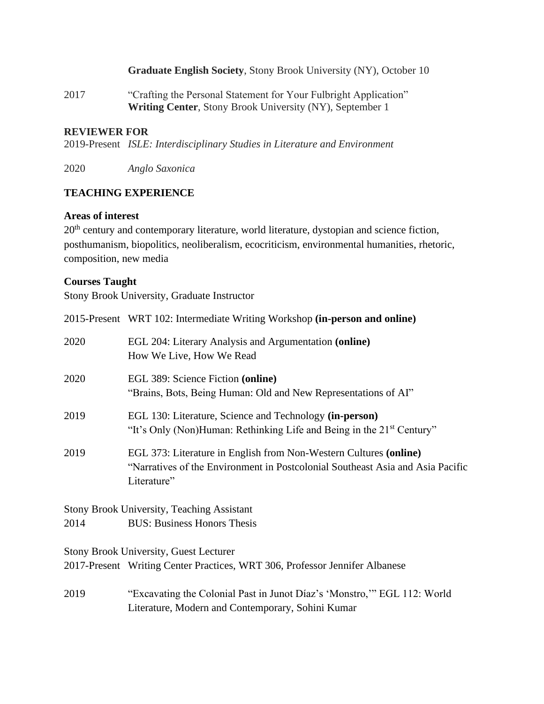#### **Graduate English Society**, Stony Brook University (NY), October 10

2017 "Crafting the Personal Statement for Your Fulbright Application" **Writing Center**, Stony Brook University (NY), September 1

#### **REVIEWER FOR**

2019-Present *ISLE: Interdisciplinary Studies in Literature and Environment*

2020 *Anglo Saxonica*

#### **TEACHING EXPERIENCE**

#### **Areas of interest**

20<sup>th</sup> century and contemporary literature, world literature, dystopian and science fiction, posthumanism, biopolitics, neoliberalism, ecocriticism, environmental humanities, rhetoric, composition, new media

#### **Courses Taught**

Stony Brook University, Graduate Instructor

|      | 2015-Present WRT 102: Intermediate Writing Workshop (in-person and online)                                                                                         |
|------|--------------------------------------------------------------------------------------------------------------------------------------------------------------------|
| 2020 | EGL 204: Literary Analysis and Argumentation (online)<br>How We Live, How We Read                                                                                  |
| 2020 | EGL 389: Science Fiction (online)<br>"Brains, Bots, Being Human: Old and New Representations of AI"                                                                |
| 2019 | EGL 130: Literature, Science and Technology (in-person)<br>"It's Only (Non)Human: Rethinking Life and Being in the 21 <sup>st</sup> Century"                       |
| 2019 | EGL 373: Literature in English from Non-Western Cultures (online)<br>"Narratives of the Environment in Postcolonial Southeast Asia and Asia Pacific<br>Literature" |
|      | <b>Stony Brook University, Teaching Assistant</b>                                                                                                                  |
| 2014 | <b>BUS: Business Honors Thesis</b>                                                                                                                                 |
|      | <b>Stony Brook University, Guest Lecturer</b>                                                                                                                      |
|      | 2017-Present Writing Center Practices, WRT 306, Professor Jennifer Albanese                                                                                        |
| 2019 | "Excavating the Colonial Past in Junot Díaz's 'Monstro," EGL 112: World<br>Literature, Modern and Contemporary, Sohini Kumar                                       |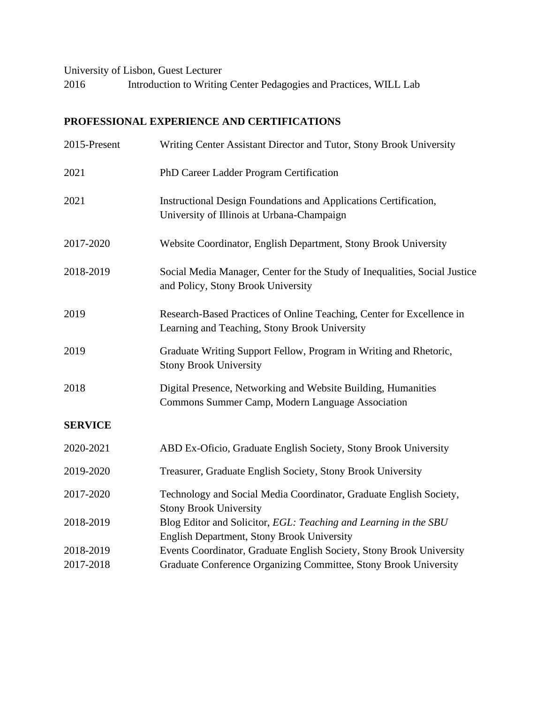University of Lisbon, Guest Lecturer

2016 Introduction to Writing Center Pedagogies and Practices, WILL Lab

# **PROFESSIONAL EXPERIENCE AND CERTIFICATIONS**

| 2015-Present   | Writing Center Assistant Director and Tutor, Stony Brook University                                                    |
|----------------|------------------------------------------------------------------------------------------------------------------------|
| 2021           | PhD Career Ladder Program Certification                                                                                |
| 2021           | Instructional Design Foundations and Applications Certification,<br>University of Illinois at Urbana-Champaign         |
| 2017-2020      | Website Coordinator, English Department, Stony Brook University                                                        |
| 2018-2019      | Social Media Manager, Center for the Study of Inequalities, Social Justice<br>and Policy, Stony Brook University       |
| 2019           | Research-Based Practices of Online Teaching, Center for Excellence in<br>Learning and Teaching, Stony Brook University |
| 2019           | Graduate Writing Support Fellow, Program in Writing and Rhetoric,<br><b>Stony Brook University</b>                     |
| 2018           | Digital Presence, Networking and Website Building, Humanities<br>Commons Summer Camp, Modern Language Association      |
| <b>SERVICE</b> |                                                                                                                        |
| 2020-2021      | ABD Ex-Oficio, Graduate English Society, Stony Brook University                                                        |
| 2019-2020      | Treasurer, Graduate English Society, Stony Brook University                                                            |
| 2017-2020      | Technology and Social Media Coordinator, Graduate English Society,<br><b>Stony Brook University</b>                    |
| 2018-2019      | Blog Editor and Solicitor, EGL: Teaching and Learning in the SBU<br>English Department, Stony Brook University         |
| 2018-2019      | Events Coordinator, Graduate English Society, Stony Brook University                                                   |
| 2017-2018      | Graduate Conference Organizing Committee, Stony Brook University                                                       |